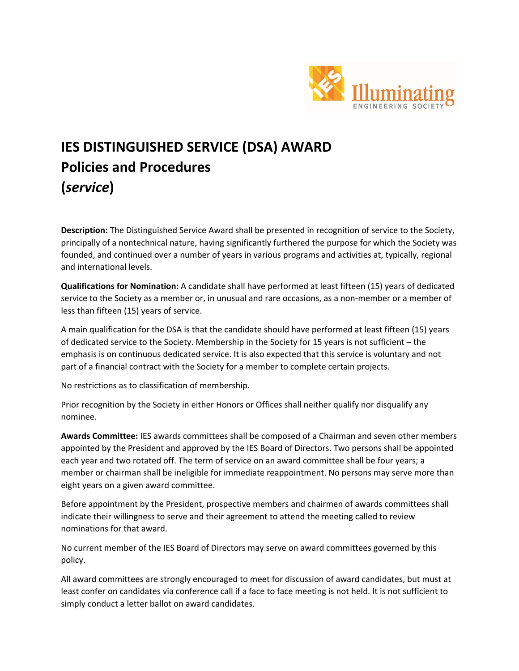

## **IES DISTINGUISHED SERVICE (DSA) AWARD Policies and Procedures (***service***)**

**Description:** The Distinguished Service Award shall be presented in recognition of service to the Society, principally of a nontechnical nature, having significantly furthered the purpose for which the Society was founded, and continued over a number of years in various programs and activities at, typically, regional and international levels.

**Qualifications for Nomination:** A candidate shall have performed at least fifteen (15) years of dedicated service to the Society as a member or, in unusual and rare occasions, as a non-member or a member of less than fifteen (15) years of service.

A main qualification for the DSA is that the candidate should have performed at least fifteen (15) years of dedicated service to the Society. Membership in the Society for 15 years is not sufficient – the emphasis is on continuous dedicated service. It is also expected that this service is voluntary and not part of a financial contract with the Society for a member to complete certain projects.

No restrictions as to classification of membership.

Prior recognition by the Society in either Honors or Offices shall neither qualify nor disqualify any nominee.

**Awards Committee:** IES awards committees shall be composed of a Chairman and seven other members appointed by the President and approved by the IES Board of Directors. Two persons shall be appointed each year and two rotated off. The term of service on an award committee shall be four years; a member or chairman shall be ineligible for immediate reappointment. No persons may serve more than eight years on a given award committee.

Before appointment by the President, prospective members and chairmen of awards committees shall indicate their willingness to serve and their agreement to attend the meeting called to review nominations for that award.

No current member of the IES Board of Directors may serve on award committees governed by this policy.

All award committees are strongly encouraged to meet for discussion of award candidates, but must at least confer on candidates via conference call if a face to face meeting is not held. It is not sufficient to simply conduct a letter ballot on award candidates.